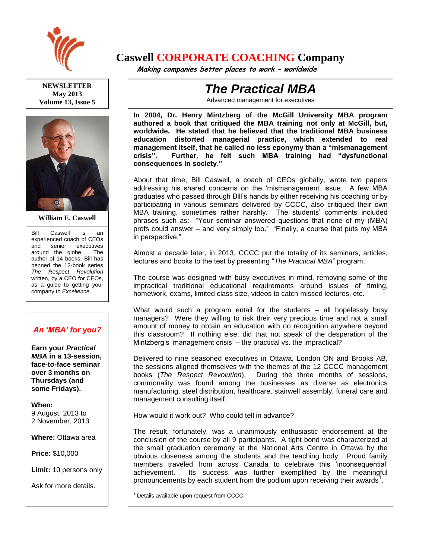

**NEWSLETTER May 2013 Volume 13, Issue 5**



**William E. Caswell**

Bill Caswell is an experienced coach of CEOs and senior executives around the globe. The author of 14 books, Bill has penned the 12-book series *The Respect Revolution* written, by a CEO for CEOs, as a guide to getting your company to *Excellence*.

## *An 'MBA' for you?*

**Earn your** *Practical MBA* **in a 13-session, face-to-face seminar over 3 months on Thursdays (and some Fridays).**

**When:**  9 August, 2013 to 2 November, 2013

**Where:** Ottawa area

**Price:** \$10,000

**Limit:** 10 persons only

Ask for more details.

# **Caswell CORPORATE COACHING Company**

 **Making companies better places to work – worldwide**

# *The Practical MBA*

Advanced management for executives

**In 2004, Dr. Henry Mintzberg of the McGill University MBA program authored a book that critiqued the MBA training not only at McGill, but, worldwide. He stated that he believed that the traditional MBA business education distorted managerial practice, which extended to real management itself, that he called no less eponymy than a "mismanagement crisis". Further, he felt such MBA training had "dysfunctional consequences in society."** 

About that time, Bill Caswell, a coach of CEOs globally, wrote two papers addressing his shared concerns on the 'mismanagement' issue. A few MBA graduates who passed through Bill's hands by either receiving his coaching or by participating in various seminars delivered by CCCC, also critiqued their own MBA training, sometimes rather harshly. The students' comments included phrases such as: "Your seminar answered questions that none of my (MBA) profs could answer – and very simply too." "Finally, a course that puts my MBA in perspective."

Almost a decade later, in 2013, CCCC put the totality of its seminars, articles, lectures and books to the test by presenting "*The Practical MBA*" program.

The course was designed with busy executives in mind, removing some of the impractical traditional educational requirements around issues of timing, homework, exams, limited class size, videos to catch missed lectures, etc.

What would such a program entail for the students – all hopelessly busy managers? Were they willing to risk their very precious time and not a small amount of money to obtain an education with no recognition anywhere beyond this classroom? If nothing else, did that not speak of the desperation of the Mintzberg's 'management crisis' – the practical vs. the impractical?

Delivered to nine seasoned executives in Ottawa, London ON and Brooks AB, the sessions aligned themselves with the themes of the 12 CCCC management books (*The Respect Revolution*). During the three months of sessions, commonality was found among the businesses as diverse as electronics manufacturing, steel distribution, healthcare, stairwell assembly, funeral care and management consulting itself.

How would it work out? Who could tell in advance?

The result, fortunately, was a unanimously enthusiastic endorsement at the conclusion of the course by all 9 participants. A tight bond was characterized at the small graduation ceremony at the National Arts Centre in Ottawa by the obvious closeness among the students and the teaching body. Proud family members traveled from across Canada to celebrate this 'inconsequential' achievement. Its success was further exemplified by the meaningful pronouncements by each student from the podium upon receiving their awards<sup>1</sup>.

 $<sup>1</sup>$  Details available upon request from CCCC.</sup>

 $\overline{a}$